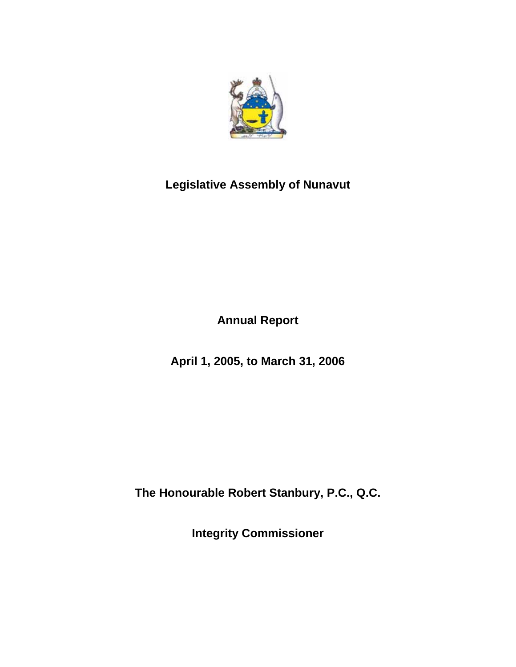

# **Legislative Assembly of Nunavut**

**Annual Report** 

**April 1, 2005, to March 31, 2006** 

**The Honourable Robert Stanbury, P.C., Q.C.** 

**Integrity Commissioner**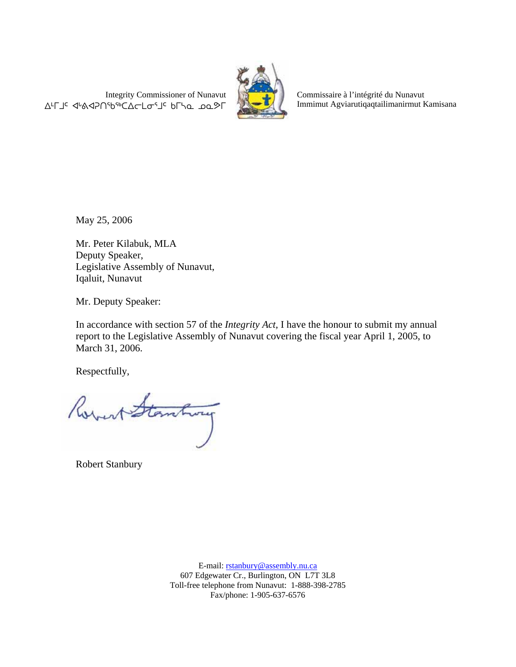Integrity Commissioner of Nunavut AFJ< <br />
«



Commissaire à l'intégrité du Nunavut Immimut Agviarutiqaqtailimanirmut Kamisana

May 25, 2006

Mr. Peter Kilabuk, MLA Deputy Speaker, Legislative Assembly of Nunavut, Iqaluit, Nunavut

Mr. Deputy Speaker:

In accordance with section 57 of the *Integrity Act,* I have the honour to submit my annual report to the Legislative Assembly of Nunavut covering the fiscal year April 1, 2005, to March 31, 2006.

Respectfully,

est Stantway

Robert Stanbury

E-mail: rstanbury@assembly.nu.ca 607 Edgewater Cr., Burlington, ON L7T 3L8 Toll-free telephone from Nunavut: 1-888-398-2785 Fax/phone: 1-905-637-6576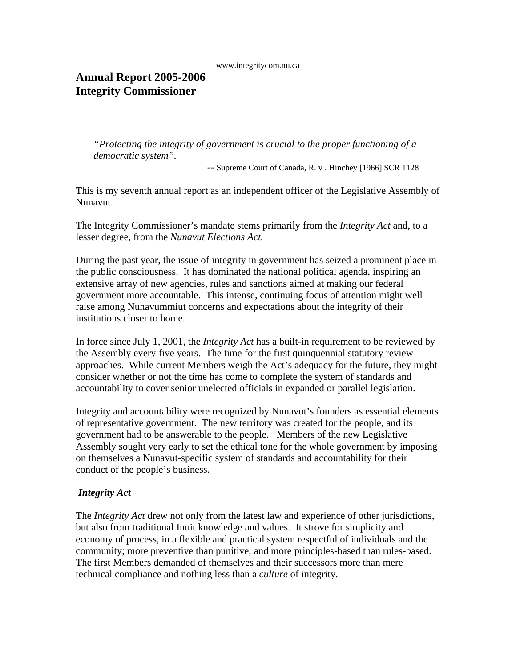www.integritycom.nu.ca

## **Annual Report 2005-2006 Integrity Commissioner**

*"Protecting the integrity of government is crucial to the proper functioning of a democratic system".* 

 *--* Supreme Court of Canada, R. v . Hinchey [1966] SCR 1128

This is my seventh annual report as an independent officer of the Legislative Assembly of Nunavut.

The Integrity Commissioner's mandate stems primarily from the *Integrity Act* and, to a lesser degree, from the *Nunavut Elections Act.*

During the past year, the issue of integrity in government has seized a prominent place in the public consciousness. It has dominated the national political agenda, inspiring an extensive array of new agencies, rules and sanctions aimed at making our federal government more accountable. This intense, continuing focus of attention might well raise among Nunavummiut concerns and expectations about the integrity of their institutions closer to home.

In force since July 1, 2001, the *Integrity Act* has a built-in requirement to be reviewed by the Assembly every five years. The time for the first quinquennial statutory review approaches. While current Members weigh the Act's adequacy for the future, they might consider whether or not the time has come to complete the system of standards and accountability to cover senior unelected officials in expanded or parallel legislation.

Integrity and accountability were recognized by Nunavut's founders as essential elements of representative government. The new territory was created for the people, and its government had to be answerable to the people. Members of the new Legislative Assembly sought very early to set the ethical tone for the whole government by imposing on themselves a Nunavut-specific system of standards and accountability for their conduct of the people's business.

### *Integrity Act*

The *Integrity Act* drew not only from the latest law and experience of other jurisdictions, but also from traditional Inuit knowledge and values. It strove for simplicity and economy of process, in a flexible and practical system respectful of individuals and the community; more preventive than punitive, and more principles-based than rules-based. The first Members demanded of themselves and their successors more than mere technical compliance and nothing less than a *culture* of integrity.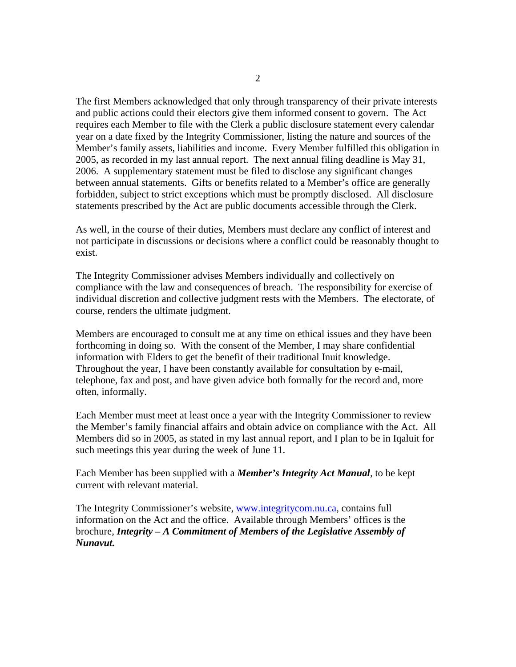The first Members acknowledged that only through transparency of their private interests and public actions could their electors give them informed consent to govern. The Act requires each Member to file with the Clerk a public disclosure statement every calendar year on a date fixed by the Integrity Commissioner, listing the nature and sources of the Member's family assets, liabilities and income. Every Member fulfilled this obligation in 2005, as recorded in my last annual report. The next annual filing deadline is May 31, 2006. A supplementary statement must be filed to disclose any significant changes between annual statements. Gifts or benefits related to a Member's office are generally forbidden, subject to strict exceptions which must be promptly disclosed. All disclosure statements prescribed by the Act are public documents accessible through the Clerk.

As well, in the course of their duties, Members must declare any conflict of interest and not participate in discussions or decisions where a conflict could be reasonably thought to exist.

The Integrity Commissioner advises Members individually and collectively on compliance with the law and consequences of breach. The responsibility for exercise of individual discretion and collective judgment rests with the Members. The electorate, of course, renders the ultimate judgment.

Members are encouraged to consult me at any time on ethical issues and they have been forthcoming in doing so. With the consent of the Member, I may share confidential information with Elders to get the benefit of their traditional Inuit knowledge. Throughout the year, I have been constantly available for consultation by e-mail, telephone, fax and post, and have given advice both formally for the record and, more often, informally.

Each Member must meet at least once a year with the Integrity Commissioner to review the Member's family financial affairs and obtain advice on compliance with the Act. All Members did so in 2005, as stated in my last annual report, and I plan to be in Iqaluit for such meetings this year during the week of June 11.

Each Member has been supplied with a *Member's Integrity Act Manual,* to be kept current with relevant material.

The Integrity Commissioner's website, www.integritycom.nu.ca, contains full information on the Act and the office. Available through Members' offices is the brochure, *Integrity – A Commitment of Members of the Legislative Assembly of Nunavut.*